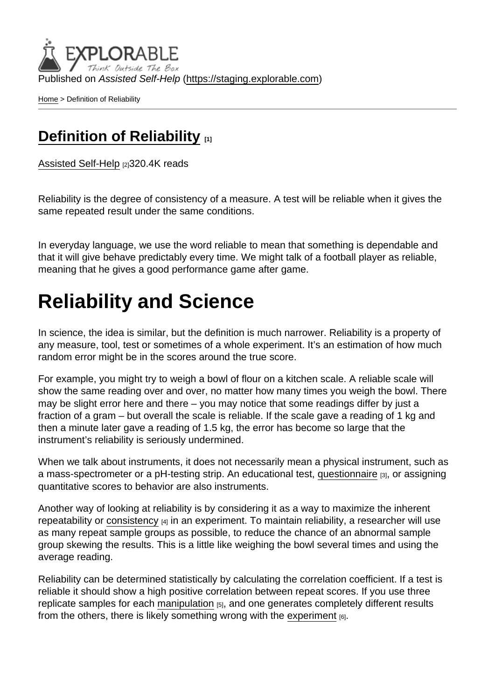Published on Assisted Self-Help [\(https://staging.explorable.com](https://staging.explorable.com))

[Home](https://staging.explorable.com/en) > Definition of Reliability

### [Definition of Reliability](https://staging.explorable.com/en/definition-of-reliability) [1]

[Assisted Self-Help](https://staging.explorable.com/en) [2]320.4K reads

Reliability is the degree of consistency of a measure. A test will be reliable when it gives the same repeated result under the same conditions.

In everyday language, we use the word reliable to mean that something is dependable and that it will give behave predictably every time. We might talk of a football player as reliable, meaning that he gives a good performance game after game.

## Reliability and Science

In science, the idea is similar, but the definition is much narrower. Reliability is a property of any measure, tool, test or sometimes of a whole experiment. It's an estimation of how much random error might be in the scores around the true score.

For example, you might try to weigh a bowl of flour on a kitchen scale. A reliable scale will show the same reading over and over, no matter how many times you weigh the bowl. There may be slight error here and there – you may notice that some readings differ by just a fraction of a gram – but overall the scale is reliable. If the scale gave a reading of 1 kg and then a minute later gave a reading of 1.5 kg, the error has become so large that the instrument's reliability is seriously undermined.

When we talk about instruments, it does not necessarily mean a physical instrument, such as a mass-spectrometer or a pH-testing strip. An educational test, [questionnaire](https://explorable.com/survey-research-design) [3], or assigning quantitative scores to behavior are also instruments.

Another way of looking at reliability is by considering it as a way to maximize the inherent repeatability or [consistency](https://explorable.com/internal-consistency-reliability)  $[4]$  in an experiment. To maintain reliability, a researcher will use as many repeat sample groups as possible, to reduce the chance of an abnormal sample group skewing the results. This is a little like weighing the bowl several times and using the average reading.

Reliability can be determined statistically by calculating the correlation coefficient. If a test is reliable it should show a high positive correlation between repeat scores. If you use three replicate samples for each [manipulation](https://explorable.com/independent-variable)  $[5]$ , and one generates completely different results from the others, there is likely something wrong with the [experiment](https://explorable.com/experimental-research)  $_{[6]}$ .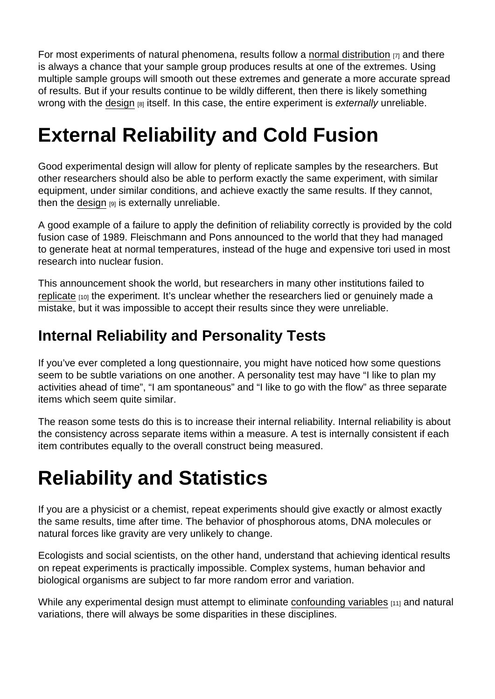For most experiments of natural phenomena, results follow a [normal distribution](https://explorable.com/normal-probability-distribution)  $\overline{y}$  and there is always a chance that your sample group produces results at one of the extremes. Using multiple sample groups will smooth out these extremes and generate a more accurate spread of results. But if your results continue to be wildly different, then there is likely something wrong with the [design](https://explorable.com/research-designs)  $[8]$  itself. In this case, the entire experiment is externally unreliable.

# External Reliability and Cold Fusion

Good experimental design will allow for plenty of replicate samples by the researchers. But other researchers should also be able to perform exactly the same experiment, with similar equipment, under similar conditions, and achieve exactly the same results. If they cannot, then the [design](https://explorable.com/design-of-experiment)  $[9]$  is externally unreliable.

A good example of a failure to apply the definition of reliability correctly is provided by the cold fusion case of 1989. Fleischmann and Pons announced to the world that they had managed to generate heat at normal temperatures, instead of the huge and expensive tori used in most research into nuclear fusion.

This announcement shook the world, but researchers in many other institutions failed to [replicate](https://explorable.com/reproducibility)  $100$  the experiment. It's unclear whether the researchers lied or genuinely made a mistake, but it was impossible to accept their results since they were unreliable.

### Internal Reliability and Personality Tests

If you've ever completed a long questionnaire, you might have noticed how some questions seem to be subtle variations on one another. A personality test may have "I like to plan my activities ahead of time", "I am spontaneous" and "I like to go with the flow" as three separate items which seem quite similar.

The reason some tests do this is to increase their internal reliability. Internal reliability is about the consistency across separate items within a measure. A test is internally consistent if each item contributes equally to the overall construct being measured.

## Reliability and Statistics

If you are a physicist or a chemist, repeat experiments should give exactly or almost exactly the same results, time after time. The behavior of phosphorous atoms, DNA molecules or natural forces like gravity are very unlikely to change.

Ecologists and social scientists, on the other hand, understand that achieving identical results on repeat experiments is practically impossible. Complex systems, human behavior and biological organisms are subject to far more random error and variation.

While any experimental design must attempt to eliminate [confounding variables](https://explorable.com/confounding-variables) [11] and natural variations, there will always be some disparities in these disciplines.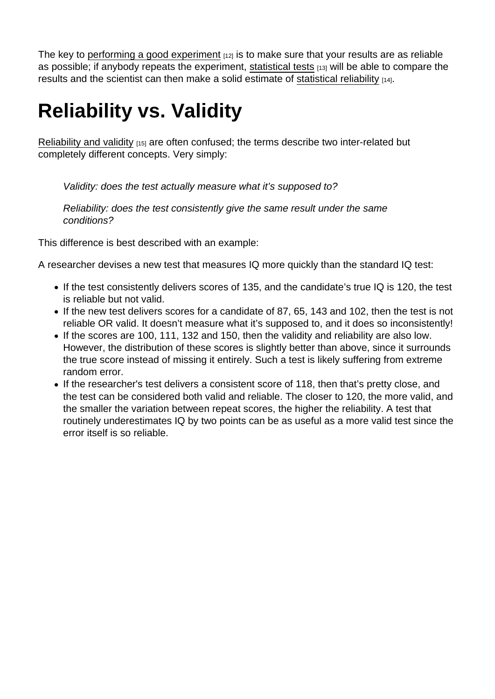The key to [performing a good experiment](https://explorable.com/conducting-an-experiment)  $[12]$  is to make sure that your results are as reliable as possible; if anybody repeats the experiment, [statistical tests](https://explorable.com/significance-test) [13] will be able to compare the results and the scientist can then make a solid estimate of [statistical reliability](https://explorable.com/statistical-reliability) [14].

# Reliability vs. Validity

[Reliability and validity](https://explorable.com/validity-and-reliability) [15] are often confused; the terms describe two inter-related but completely different concepts. Very simply:

Validity: does the test actually measure what it's supposed to?

Reliability: does the test consistently give the same result under the same conditions?

This difference is best described with an example:

A researcher devises a new test that measures IQ more quickly than the standard IQ test:

- If the test consistently delivers scores of 135, and the candidate's true IQ is 120, the test is reliable but not valid.
- If the new test delivers scores for a candidate of 87, 65, 143 and 102, then the test is not reliable OR valid. It doesn't measure what it's supposed to, and it does so inconsistently!
- If the scores are 100, 111, 132 and 150, then the validity and reliability are also low. However, the distribution of these scores is slightly better than above, since it surrounds the true score instead of missing it entirely. Such a test is likely suffering from extreme random error.
- If the researcher's test delivers a consistent score of 118, then that's pretty close, and the test can be considered both valid and reliable. The closer to 120, the more valid, and the smaller the variation between repeat scores, the higher the reliability. A test that routinely underestimates IQ by two points can be as useful as a more valid test since the error itself is so reliable.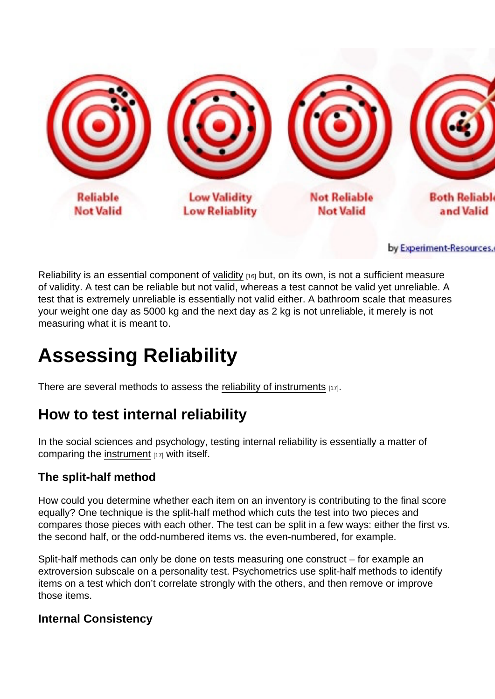Reliability is an essential component of [validity](https://explorable.com/types-of-validity)  $_{[16]}$  but, on its own, is not a sufficient measure of validity. A test can be reliable but not valid, whereas a test cannot be valid yet unreliable. A test that is extremely unreliable is essentially not valid either. A bathroom scale that measures your weight one day as 5000 kg and the next day as 2 kg is not unreliable, it merely is not measuring what it is meant to.

## Assessing Reliability

There are several methods to assess the [reliability of instruments](https://explorable.com/instrument-reliability) [17].

### How to test internal reliability

In the social sciences and psychology, testing internal reliability is essentially a matter of comparing the [instrument](https://explorable.com/instrument-reliability) [17] with itself.

#### The split-half method

How could you determine whether each item on an inventory is contributing to the final score equally? One technique is the split-half method which cuts the test into two pieces and compares those pieces with each other. The test can be split in a few ways: either the first vs. the second half, or the odd-numbered items vs. the even-numbered, for example.

Split-half methods can only be done on tests measuring one construct – for example an extroversion subscale on a personality test. Psychometrics use split-half methods to identify items on a test which don't correlate strongly with the others, and then remove or improve those items.

Internal Consistency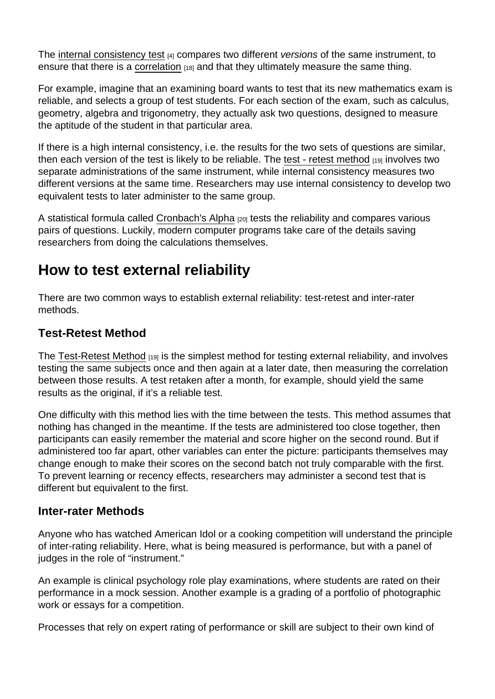The [internal consistency test](https://explorable.com/internal-consistency-reliability) [4] compares two different versions of the same instrument, to ensure that there is a [correlation](https://explorable.com/statistical-correlation)  $[18]$  and that they ultimately measure the same thing.

For example, imagine that an examining board wants to test that its new mathematics exam is reliable, and selects a group of test students. For each section of the exam, such as calculus, geometry, algebra and trigonometry, they actually ask two questions, designed to measure the aptitude of the student in that particular area.

If there is a high internal consistency, i.e. the results for the two sets of questions are similar, then each version of the test is likely to be reliable. The [test - retest method](https://explorable.com/test-retest-reliability) [19] involves two separate administrations of the same instrument, while internal consistency measures two different versions at the same time. Researchers may use internal consistency to develop two equivalent tests to later administer to the same group.

A statistical formula called [Cronbach's Alpha](https://explorable.com/cronbachs-alpha) [20] tests the reliability and compares various pairs of questions. Luckily, modern computer programs take care of the details saving researchers from doing the calculations themselves.

#### How to test external reliability

There are two common ways to establish external reliability: test-retest and inter-rater methods.

#### Test-Retest Method

The [Test-Retest Method](https://explorable.com/test-retest-reliability)  $_{1191}$  is the simplest method for testing external reliability, and involves testing the same subjects once and then again at a later date, then measuring the correlation between those results. A test retaken after a month, for example, should yield the same results as the original, if it's a reliable test.

One difficulty with this method lies with the time between the tests. This method assumes that nothing has changed in the meantime. If the tests are administered too close together, then participants can easily remember the material and score higher on the second round. But if administered too far apart, other variables can enter the picture: participants themselves may change enough to make their scores on the second batch not truly comparable with the first. To prevent learning or recency effects, researchers may administer a second test that is different but equivalent to the first.

#### Inter-rater Methods

Anyone who has watched American Idol or a cooking competition will understand the principle of inter-rating reliability. Here, what is being measured is performance, but with a panel of judges in the role of "instrument."

An example is clinical psychology role play examinations, where students are rated on their performance in a mock session. Another example is a grading of a portfolio of photographic work or essays for a competition.

Processes that rely on expert rating of performance or skill are subject to their own kind of